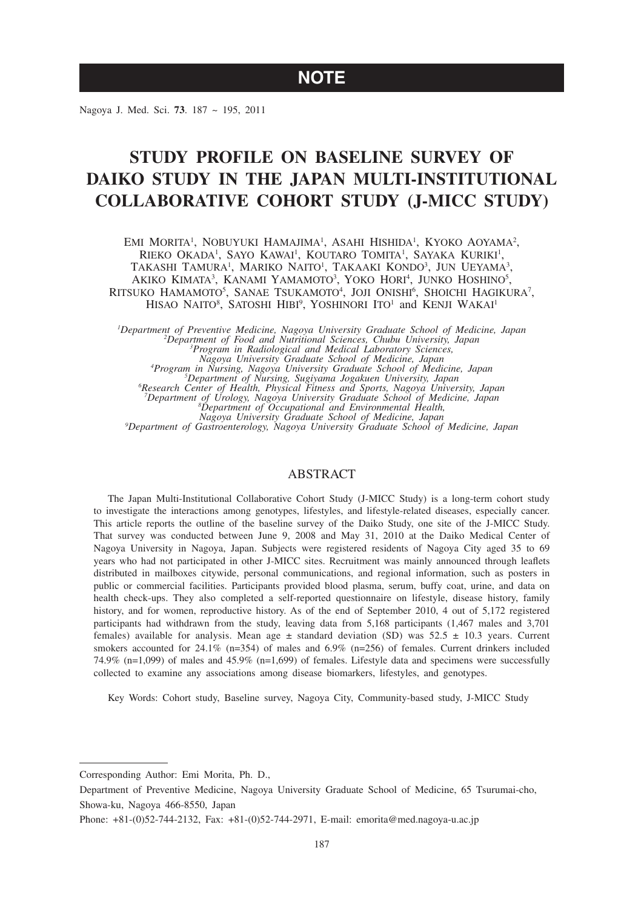## **NOTE**

Nagoya J. Med. Sci. **73**. 187 ~ 195, 2011

# **STUDY PROFILE ON BASELINE SURVEY OF DAIKO STUDY IN THE JAPAN MULTI-INSTITUTIONAL COLLABORATIVE COHORT STUDY (J-MICC STUDY)**

EMI MORITA<sup>1</sup>, NOBUYUKI HAMAJIMA<sup>1</sup>, ASAHI HISHIDA<sup>1</sup>, KYOKO AOYAMA<sup>2</sup>, RIEKO OKADA<sup>1</sup>, SAYO KAWAI<sup>1</sup>, KOUTARO TOMITA<sup>1</sup>, SAYAKA KURIKI<sup>1</sup>, TAKASHI TAMURA<sup>1</sup>, MARIKO NAITO<sup>1</sup>, TAKAAKI KONDO<sup>3</sup>, JUN UEYAMA<sup>3</sup>, AKIKO KIMATA<sup>3</sup>, KANAMI YAMAMOTO<sup>3</sup>, YOKO HORI<sup>4</sup>, JUNKO HOSHINO<sup>5</sup>, Ritsuko Hamamoto<sup>5</sup>, Sanae Tsukamoto<sup>4</sup>, Joji Onishi<sup>6</sup>, Shoichi Hagikura<sup>7</sup>, HISAO NAITO<sup>8</sup>, SATOSHI HIBI<sup>9</sup>, YOSHINORI ITO<sup>1</sup> and KENJI WAKAI<sup>1</sup>

<sup>1</sup>Department of Preventive Medicine, Nagoya University Graduate School of Medicine, Japan<sup>2</sup>Department of Food and Nutritional Sciences, Chubu University, Japan<sup>3</sup>Program in Radiological and Medical Laboratory Sciences, *Nagoya University Graduate School of Medicine, Japan <sup>4</sup> Program in Nursing, Nagoya University Graduate School of Medicine, Japan <sup>5</sup>*

<sup>5</sup>Department of Nursing, Sugiyama Jogakuen University, Japan<br>Fresearch Center of Health, Physical Fitness and Sports, Nagoya University, Japan<sup>5</sup><br>The *Show of Urology, Nagoya University Graduate School of Medicine, Japan<sup>*</sup>

*Department of Occupational and Environmental Health,* 

*Nagoya University Graduate School of Medicine, Japan <sup>9</sup> Department of Gastroenterology, Nagoya University Graduate School of Medicine, Japan*

## ABSTRACT

The Japan Multi-Institutional Collaborative Cohort Study (J-MICC Study) is a long-term cohort study to investigate the interactions among genotypes, lifestyles, and lifestyle-related diseases, especially cancer. This article reports the outline of the baseline survey of the Daiko Study, one site of the J-MICC Study. That survey was conducted between June 9, 2008 and May 31, 2010 at the Daiko Medical Center of Nagoya University in Nagoya, Japan. Subjects were registered residents of Nagoya City aged 35 to 69 years who had not participated in other J-MICC sites. Recruitment was mainly announced through leaflets distributed in mailboxes citywide, personal communications, and regional information, such as posters in public or commercial facilities. Participants provided blood plasma, serum, buffy coat, urine, and data on health check-ups. They also completed a self-reported questionnaire on lifestyle, disease history, family history, and for women, reproductive history. As of the end of September 2010, 4 out of 5,172 registered participants had withdrawn from the study, leaving data from 5,168 participants (1,467 males and 3,701 females) available for analysis. Mean age  $\pm$  standard deviation (SD) was 52.5  $\pm$  10.3 years. Current smokers accounted for 24.1% (n=354) of males and 6.9% (n=256) of females. Current drinkers included 74.9% (n=1,099) of males and 45.9% (n=1,699) of females. Lifestyle data and specimens were successfully collected to examine any associations among disease biomarkers, lifestyles, and genotypes.

Key Words: Cohort study, Baseline survey, Nagoya City, Community-based study, J-MICC Study

Corresponding Author: Emi Morita, Ph. D.,

Department of Preventive Medicine, Nagoya University Graduate School of Medicine, 65 Tsurumai-cho, Showa-ku, Nagoya 466-8550, Japan

Phone: +81-(0)52-744-2132, Fax: +81-(0)52-744-2971, E-mail: emorita@med.nagoya-u.ac.jp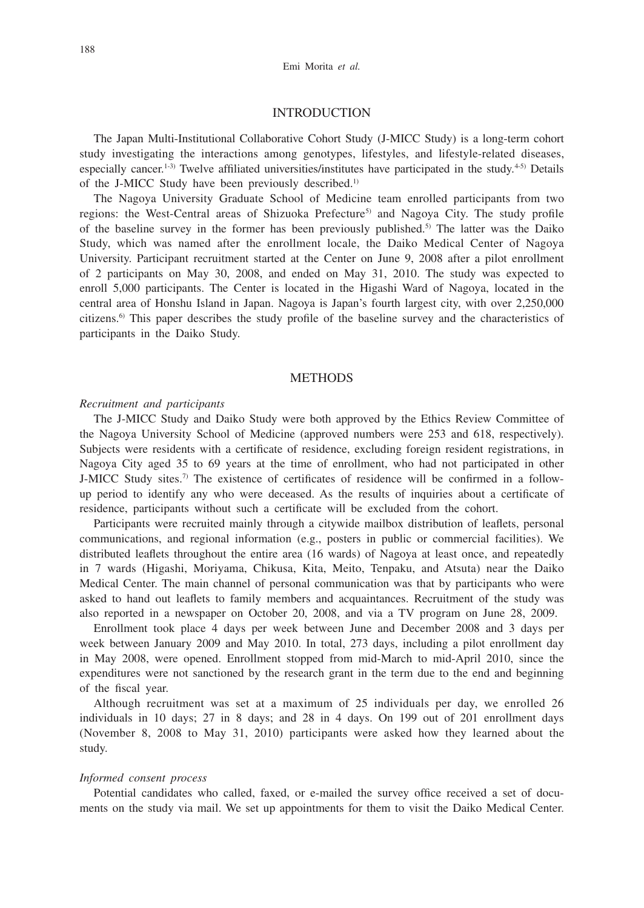## INTRODUCTION

The Japan Multi-Institutional Collaborative Cohort Study (J-MICC Study) is a long-term cohort study investigating the interactions among genotypes, lifestyles, and lifestyle-related diseases, especially cancer.<sup>1-3)</sup> Twelve affiliated universities/institutes have participated in the study.<sup>4-5)</sup> Details of the J-MICC Study have been previously described.1)

The Nagoya University Graduate School of Medicine team enrolled participants from two regions: the West-Central areas of Shizuoka Prefecture<sup>5)</sup> and Nagoya City. The study profile of the baseline survey in the former has been previously published.<sup>5)</sup> The latter was the Daiko Study, which was named after the enrollment locale, the Daiko Medical Center of Nagoya University. Participant recruitment started at the Center on June 9, 2008 after a pilot enrollment of 2 participants on May 30, 2008, and ended on May 31, 2010. The study was expected to enroll 5,000 participants. The Center is located in the Higashi Ward of Nagoya, located in the central area of Honshu Island in Japan. Nagoya is Japan's fourth largest city, with over 2,250,000 citizens.6) This paper describes the study profile of the baseline survey and the characteristics of participants in the Daiko Study.

## **METHODS**

### *Recruitment and participants*

The J-MICC Study and Daiko Study were both approved by the Ethics Review Committee of the Nagoya University School of Medicine (approved numbers were 253 and 618, respectively). Subjects were residents with a certificate of residence, excluding foreign resident registrations, in Nagoya City aged 35 to 69 years at the time of enrollment, who had not participated in other J-MICC Study sites.<sup>7)</sup> The existence of certificates of residence will be confirmed in a followup period to identify any who were deceased. As the results of inquiries about a certificate of residence, participants without such a certificate will be excluded from the cohort.

Participants were recruited mainly through a citywide mailbox distribution of leaflets, personal communications, and regional information (e.g., posters in public or commercial facilities). We distributed leaflets throughout the entire area (16 wards) of Nagoya at least once, and repeatedly in 7 wards (Higashi, Moriyama, Chikusa, Kita, Meito, Tenpaku, and Atsuta) near the Daiko Medical Center. The main channel of personal communication was that by participants who were asked to hand out leaflets to family members and acquaintances. Recruitment of the study was also reported in a newspaper on October 20, 2008, and via a TV program on June 28, 2009.

Enrollment took place 4 days per week between June and December 2008 and 3 days per week between January 2009 and May 2010. In total, 273 days, including a pilot enrollment day in May 2008, were opened. Enrollment stopped from mid-March to mid-April 2010, since the expenditures were not sanctioned by the research grant in the term due to the end and beginning of the fiscal year.

Although recruitment was set at a maximum of 25 individuals per day, we enrolled 26 individuals in 10 days; 27 in 8 days; and 28 in 4 days. On 199 out of 201 enrollment days (November 8, 2008 to May 31, 2010) participants were asked how they learned about the study.

## *Informed consent process*

Potential candidates who called, faxed, or e-mailed the survey office received a set of documents on the study via mail. We set up appointments for them to visit the Daiko Medical Center.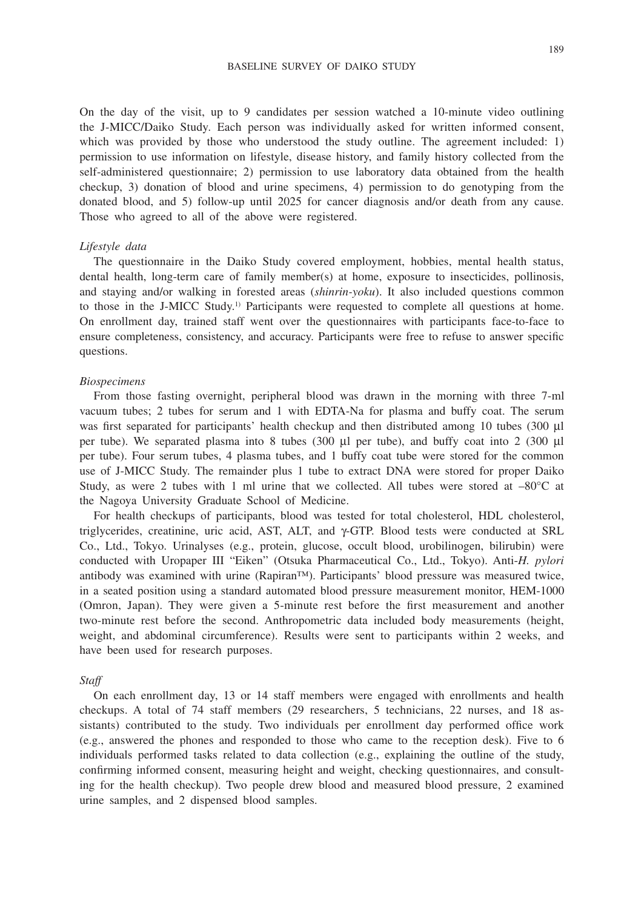On the day of the visit, up to 9 candidates per session watched a 10-minute video outlining the J-MICC/Daiko Study. Each person was individually asked for written informed consent, which was provided by those who understood the study outline. The agreement included: 1) permission to use information on lifestyle, disease history, and family history collected from the self-administered questionnaire; 2) permission to use laboratory data obtained from the health checkup, 3) donation of blood and urine specimens, 4) permission to do genotyping from the donated blood, and 5) follow-up until 2025 for cancer diagnosis and/or death from any cause. Those who agreed to all of the above were registered.

#### *Lifestyle data*

The questionnaire in the Daiko Study covered employment, hobbies, mental health status, dental health, long-term care of family member(s) at home, exposure to insecticides, pollinosis, and staying and/or walking in forested areas (*shinrin-yoku*). It also included questions common to those in the J-MICC Study.1) Participants were requested to complete all questions at home. On enrollment day, trained staff went over the questionnaires with participants face-to-face to ensure completeness, consistency, and accuracy. Participants were free to refuse to answer specific questions.

#### *Biospecimens*

From those fasting overnight, peripheral blood was drawn in the morning with three 7-ml vacuum tubes; 2 tubes for serum and 1 with EDTA-Na for plasma and buffy coat. The serum was first separated for participants' health checkup and then distributed among 10 tubes (300  $\mu$ ) per tube). We separated plasma into 8 tubes  $(300 \text{ µl}$  per tube), and buffy coat into 2  $(300 \text{ µl}$ per tube). Four serum tubes, 4 plasma tubes, and 1 buffy coat tube were stored for the common use of J-MICC Study. The remainder plus 1 tube to extract DNA were stored for proper Daiko Study, as were 2 tubes with 1 ml urine that we collected. All tubes were stored at  $-80^{\circ}$ C at the Nagoya University Graduate School of Medicine.

For health checkups of participants, blood was tested for total cholesterol, HDL cholesterol, triglycerides, creatinine, uric acid, AST, ALT, and  $\gamma$ -GTP. Blood tests were conducted at SRL Co., Ltd., Tokyo. Urinalyses (e.g., protein, glucose, occult blood, urobilinogen, bilirubin) were conducted with Uropaper III "Eiken" (Otsuka Pharmaceutical Co., Ltd., Tokyo). Anti-*H. pylori* antibody was examined with urine (Rapiran™). Participants' blood pressure was measured twice, in a seated position using a standard automated blood pressure measurement monitor, HEM-1000 (Omron, Japan). They were given a 5-minute rest before the first measurement and another two-minute rest before the second. Anthropometric data included body measurements (height, weight, and abdominal circumference). Results were sent to participants within 2 weeks, and have been used for research purposes.

#### *Staff*

On each enrollment day, 13 or 14 staff members were engaged with enrollments and health checkups. A total of 74 staff members (29 researchers, 5 technicians, 22 nurses, and 18 assistants) contributed to the study. Two individuals per enrollment day performed office work (e.g., answered the phones and responded to those who came to the reception desk). Five to 6 individuals performed tasks related to data collection (e.g., explaining the outline of the study, confirming informed consent, measuring height and weight, checking questionnaires, and consulting for the health checkup). Two people drew blood and measured blood pressure, 2 examined urine samples, and 2 dispensed blood samples.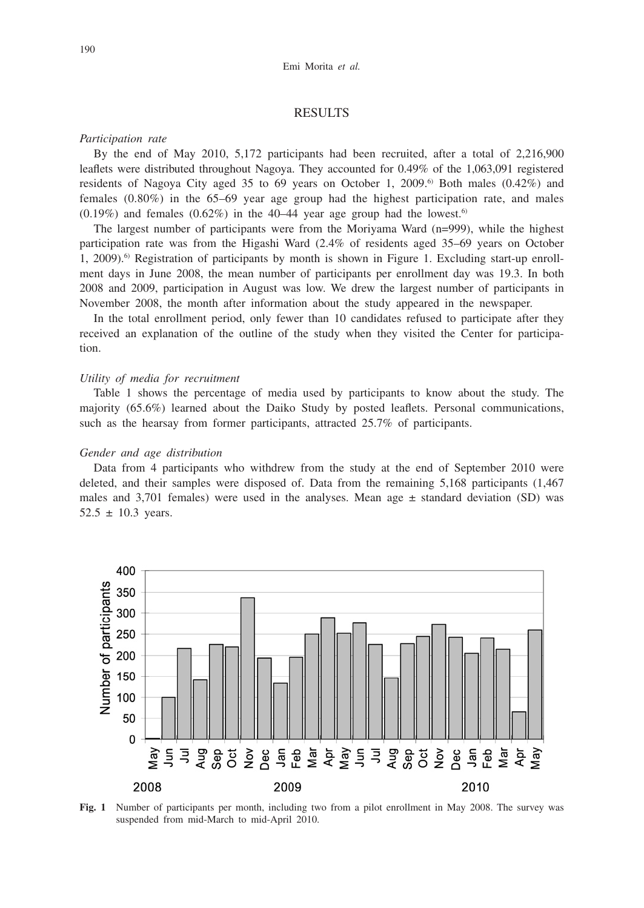## RESULTS

## *Participation rate*

By the end of May 2010, 5,172 participants had been recruited, after a total of 2,216,900 leaflets were distributed throughout Nagoya. They accounted for 0.49% of the 1,063,091 registered residents of Nagoya City aged 35 to 69 years on October 1, 2009.<sup>6)</sup> Both males  $(0.42\%)$  and females (0.80%) in the 65–69 year age group had the highest participation rate, and males  $(0.19\%)$  and females  $(0.62\%)$  in the 40–44 year age group had the lowest.<sup>6)</sup>

The largest number of participants were from the Moriyama Ward (n=999), while the highest participation rate was from the Higashi Ward (2.4% of residents aged 35–69 years on October 1, 2009).6) Registration of participants by month is shown in Figure 1. Excluding start-up enrollment days in June 2008, the mean number of participants per enrollment day was 19.3. In both 2008 and 2009, participation in August was low. We drew the largest number of participants in November 2008, the month after information about the study appeared in the newspaper.

In the total enrollment period, only fewer than 10 candidates refused to participate after they received an explanation of the outline of the study when they visited the Center for participation.

#### *Utility of media for recruitment*

Table 1 shows the percentage of media used by participants to know about the study. The majority (65.6%) learned about the Daiko Study by posted leaflets. Personal communications, such as the hearsay from former participants, attracted 25.7% of participants.

#### *Gender and age distribution*

Data from 4 participants who withdrew from the study at the end of September 2010 were deleted, and their samples were disposed of. Data from the remaining 5,168 participants (1,467 males and 3,701 females) were used in the analyses. Mean age  $\pm$  standard deviation (SD) was  $52.5 \pm 10.3$  years.



**Fig. 1** Number of participants per month, including two from a pilot enrollment in May 2008. The survey was suspended from mid-March to mid-April 2010.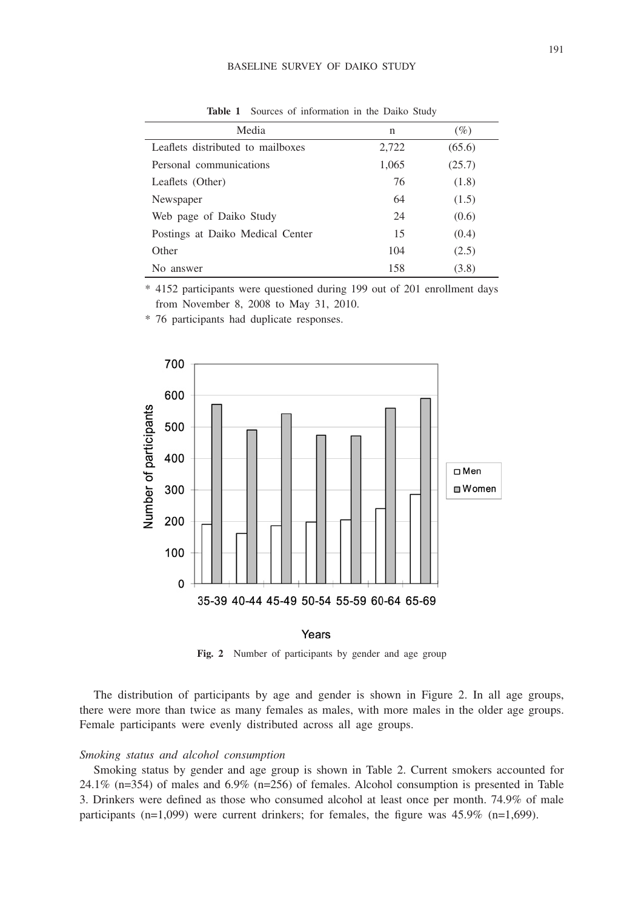## BASELINE SURVEY OF DAIKO STUDY

| Media                             | n     | (%)    |  |
|-----------------------------------|-------|--------|--|
| Leaflets distributed to mailboxes | 2,722 | (65.6) |  |
| Personal communications           | 1,065 | (25.7) |  |
| Leaflets (Other)                  | 76    | (1.8)  |  |
| Newspaper                         | 64    | (1.5)  |  |
| Web page of Daiko Study           | 24    | (0.6)  |  |
| Postings at Daiko Medical Center  | 15    | (0.4)  |  |
| Other                             | 104   | (2.5)  |  |
| No answer                         | 158   | (3.8)  |  |

**Table 1** Sources of information in the Daiko Study

\* 4152 participants were questioned during 199 out of 201 enrollment days from November 8, 2008 to May 31, 2010.

\* 76 participants had duplicate responses.



## Years

**Fig. 2** Number of participants by gender and age group

The distribution of participants by age and gender is shown in Figure 2. In all age groups, there were more than twice as many females as males, with more males in the older age groups. Female participants were evenly distributed across all age groups.

## *Smoking status and alcohol consumption*

Smoking status by gender and age group is shown in Table 2. Current smokers accounted for 24.1% (n=354) of males and 6.9% (n=256) of females. Alcohol consumption is presented in Table 3. Drinkers were defined as those who consumed alcohol at least once per month. 74.9% of male participants (n=1,099) were current drinkers; for females, the figure was  $45.9\%$  (n=1,699).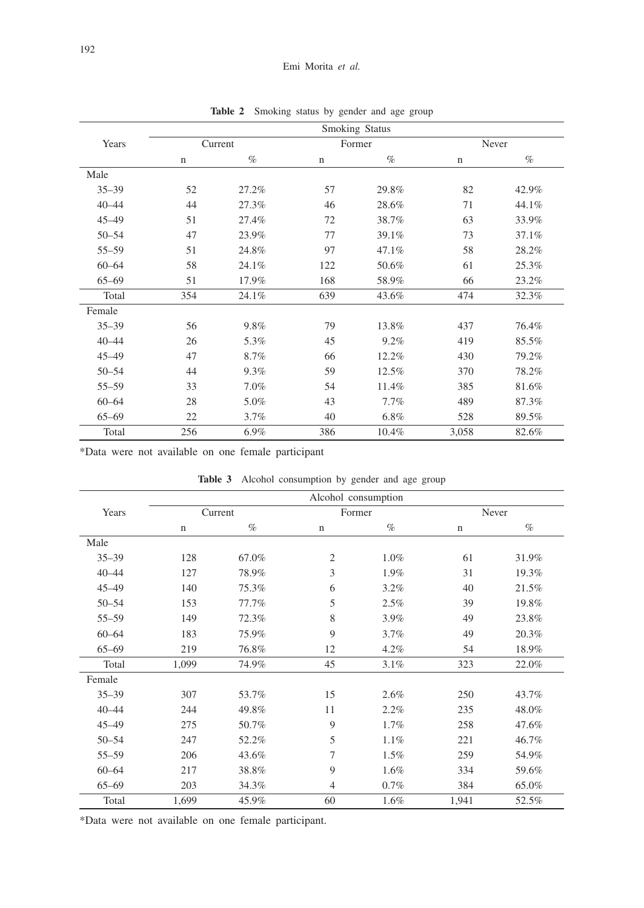|           |             |         |             | Smoking Status |             |       |
|-----------|-------------|---------|-------------|----------------|-------------|-------|
| Years     |             | Current |             | Former         |             | Never |
|           | $\mathbf n$ | $\%$    | $\mathbf n$ | $\%$           | $\mathbf n$ | $\%$  |
| Male      |             |         |             |                |             |       |
| $35 - 39$ | 52          | 27.2%   | 57          | 29.8%          | 82          | 42.9% |
| $40 - 44$ | 44          | 27.3%   | 46          | 28.6%          | 71          | 44.1% |
| $45 - 49$ | 51          | 27.4%   | 72          | 38.7%          | 63          | 33.9% |
| $50 - 54$ | 47          | 23.9%   | 77          | 39.1%          | 73          | 37.1% |
| $55 - 59$ | 51          | 24.8%   | 97          | 47.1%          | 58          | 28.2% |
| $60 - 64$ | 58          | 24.1%   | 122         | 50.6%          | 61          | 25.3% |
| $65 - 69$ | 51          | 17.9%   | 168         | 58.9%          | 66          | 23.2% |
| Total     | 354         | 24.1%   | 639         | 43.6%          | 474         | 32.3% |
| Female    |             |         |             |                |             |       |
| $35 - 39$ | 56          | 9.8%    | 79          | 13.8%          | 437         | 76.4% |
| $40 - 44$ | 26          | 5.3%    | 45          | 9.2%           | 419         | 85.5% |
| $45 - 49$ | 47          | 8.7%    | 66          | 12.2%          | 430         | 79.2% |
| $50 - 54$ | 44          | 9.3%    | 59          | 12.5%          | 370         | 78.2% |
| $55 - 59$ | 33          | 7.0%    | 54          | 11.4%          | 385         | 81.6% |
| $60 - 64$ | 28          | 5.0%    | 43          | 7.7%           | 489         | 87.3% |
| $65 - 69$ | 22          | 3.7%    | 40          | 6.8%           | 528         | 89.5% |
| Total     | 256         | 6.9%    | 386         | 10.4%          | 3,058       | 82.6% |

Table 2 Smoking status by gender and age group

\*Data were not available on one female participant

|           |             |         | Alcohol consumption |         |             |       |  |
|-----------|-------------|---------|---------------------|---------|-------------|-------|--|
| Years     |             | Current |                     | Former  | Never       |       |  |
|           | $\mathbf n$ | $\%$    | $\mathbf n$         | $\%$    | $\mathbf n$ | $\%$  |  |
| Male      |             |         |                     |         |             |       |  |
| $35 - 39$ | 128         | 67.0%   | $\mathfrak{2}$      | 1.0%    | 61          | 31.9% |  |
| $40 - 44$ | 127         | 78.9%   | 3                   | 1.9%    | 31          | 19.3% |  |
| $45 - 49$ | 140         | 75.3%   | 6                   | 3.2%    | 40          | 21.5% |  |
| $50 - 54$ | 153         | 77.7%   | 5                   | 2.5%    | 39          | 19.8% |  |
| $55 - 59$ | 149         | 72.3%   | 8                   | 3.9%    | 49          | 23.8% |  |
| $60 - 64$ | 183         | 75.9%   | 9                   | 3.7%    | 49          | 20.3% |  |
| $65 - 69$ | 219         | 76.8%   | 12                  | 4.2%    | 54          | 18.9% |  |
| Total     | 1,099       | 74.9%   | 45                  | 3.1%    | 323         | 22.0% |  |
| Female    |             |         |                     |         |             |       |  |
| $35 - 39$ | 307         | 53.7%   | 15                  | 2.6%    | 250         | 43.7% |  |
| $40 - 44$ | 244         | 49.8%   | 11                  | 2.2%    | 235         | 48.0% |  |
| $45 - 49$ | 275         | 50.7%   | 9                   | 1.7%    | 258         | 47.6% |  |
| $50 - 54$ | 247         | 52.2%   | 5                   | 1.1%    | 221         | 46.7% |  |
| $55 - 59$ | 206         | 43.6%   | 7                   | 1.5%    | 259         | 54.9% |  |
| $60 - 64$ | 217         | 38.8%   | 9                   | $1.6\%$ | 334         | 59.6% |  |
| $65 - 69$ | 203         | 34.3%   | 4                   | $0.7\%$ | 384         | 65.0% |  |
| Total     | 1,699       | 45.9%   | 60                  | 1.6%    | 1,941       | 52.5% |  |

Table 3 Alcohol consumption by gender and age group

\*Data were not available on one female participant.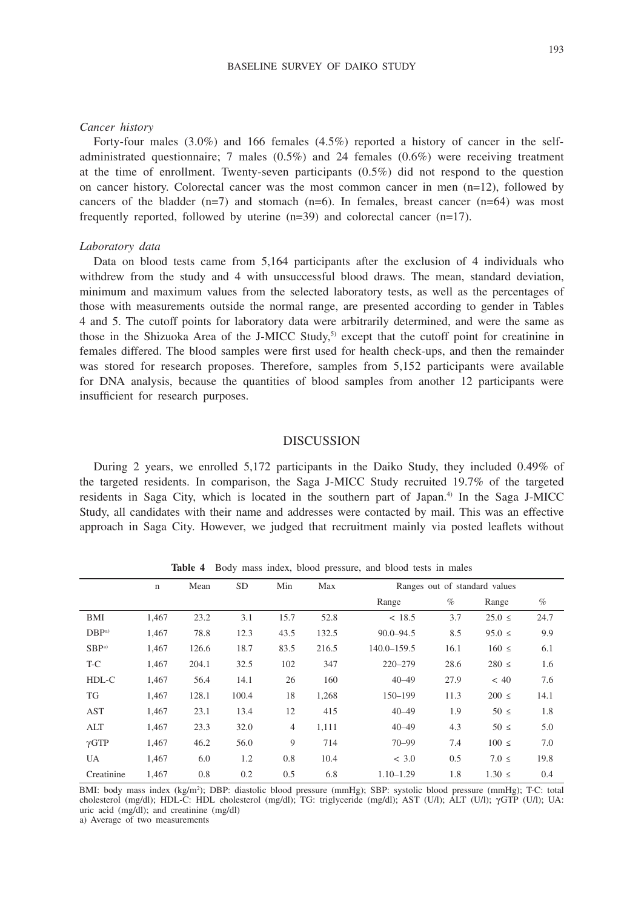#### *Cancer history*

Forty-four males (3.0%) and 166 females (4.5%) reported a history of cancer in the selfadministrated questionnaire; 7 males  $(0.5\%)$  and 24 females  $(0.6\%)$  were receiving treatment at the time of enrollment. Twenty-seven participants (0.5%) did not respond to the question on cancer history. Colorectal cancer was the most common cancer in men (n=12), followed by cancers of the bladder  $(n=7)$  and stomach  $(n=6)$ . In females, breast cancer  $(n=64)$  was most frequently reported, followed by uterine (n=39) and colorectal cancer (n=17).

#### *Laboratory data*

Data on blood tests came from 5,164 participants after the exclusion of 4 individuals who withdrew from the study and 4 with unsuccessful blood draws. The mean, standard deviation, minimum and maximum values from the selected laboratory tests, as well as the percentages of those with measurements outside the normal range, are presented according to gender in Tables 4 and 5. The cutoff points for laboratory data were arbitrarily determined, and were the same as those in the Shizuoka Area of the J-MICC Study,<sup>5)</sup> except that the cutoff point for creatinine in females differed. The blood samples were first used for health check-ups, and then the remainder was stored for research proposes. Therefore, samples from 5,152 participants were available for DNA analysis, because the quantities of blood samples from another 12 participants were insufficient for research purposes.

## DISCUSSION

During 2 years, we enrolled 5,172 participants in the Daiko Study, they included 0.49% of the targeted residents. In comparison, the Saga J-MICC Study recruited 19.7% of the targeted residents in Saga City, which is located in the southern part of Japan.4) In the Saga J-MICC Study, all candidates with their name and addresses were contacted by mail. This was an effective approach in Saga City. However, we judged that recruitment mainly via posted leaflets without

|                   | $\mathbf n$ | Mean  | <b>SD</b> | Min            | Max   | Ranges out of standard values |      |            |      |
|-------------------|-------------|-------|-----------|----------------|-------|-------------------------------|------|------------|------|
|                   |             |       |           |                |       | Range                         | $\%$ | Range      | $\%$ |
| <b>BMI</b>        | 1,467       | 23.2  | 3.1       | 15.7           | 52.8  | < 18.5                        | 3.7  | $25.0 \le$ | 24.7 |
| DBP <sup>a)</sup> | 1,467       | 78.8  | 12.3      | 43.5           | 132.5 | $90.0 - 94.5$                 | 8.5  | $95.0 \le$ | 9.9  |
| SBP <sub>a</sub>  | 1.467       | 126.6 | 18.7      | 83.5           | 216.5 | 140.0-159.5                   | 16.1 | $160 \le$  | 6.1  |
| T-C               | 1.467       | 204.1 | 32.5      | 102            | 347   | $220 - 279$                   | 28.6 | $280 \le$  | 1.6  |
| $HDL-C$           | 1,467       | 56.4  | 14.1      | 26             | 160   | $40 - 49$                     | 27.9 | < 40       | 7.6  |
| TG                | 1.467       | 128.1 | 100.4     | 18             | 1,268 | $150 - 199$                   | 11.3 | $200 \le$  | 14.1 |
| <b>AST</b>        | 1.467       | 23.1  | 13.4      | 12             | 415   | $40 - 49$                     | 1.9  | $50 \le$   | 1.8  |
| <b>ALT</b>        | 1.467       | 23.3  | 32.0      | $\overline{4}$ | 1,111 | $40 - 49$                     | 4.3  | $50 \le$   | 5.0  |
| $\gamma GTP$      | 1,467       | 46.2  | 56.0      | 9              | 714   | $70 - 99$                     | 7.4  | $100 \leq$ | 7.0  |
| <b>UA</b>         | 1,467       | 6.0   | 1.2       | 0.8            | 10.4  | < 3.0                         | 0.5  | $7.0 \le$  | 19.8 |
| Creatinine        | 1,467       | 0.8   | 0.2       | 0.5            | 6.8   | $1.10 - 1.29$                 | 1.8  | $1.30 \le$ | 0.4  |

**Table 4** Body mass index, blood pressure, and blood tests in males

BMI: body mass index (kg/m<sup>2</sup>); DBP: diastolic blood pressure (mmHg); SBP: systolic blood pressure (mmHg); T-C: total cholesterol (mg/dl); HDL-C: HDL cholesterol (mg/dl); TG: triglyceride (mg/dl); AST (U/l); ALT (U/l); γGTP (U/l); UA: uric acid (mg/dl); and creatinine (mg/dl)

a) Average of two measurements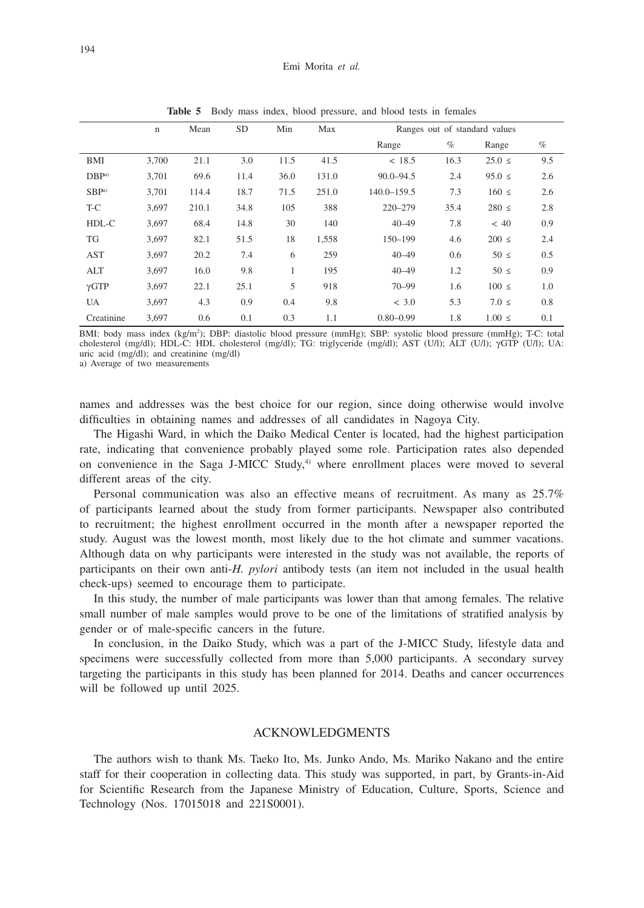|                  | $\mathbf n$ | Mean  | <b>SD</b> | Min  | Max   | Ranges out of standard values |      |             |      |
|------------------|-------------|-------|-----------|------|-------|-------------------------------|------|-------------|------|
|                  |             |       |           |      |       | Range                         | $\%$ | Range       | $\%$ |
| BMI              | 3,700       | 21.1  | 3.0       | 11.5 | 41.5  | < 18.5                        | 16.3 | $25.0 \le$  | 9.5  |
| DBP <sub>a</sub> | 3,701       | 69.6  | 11.4      | 36.0 | 131.0 | $90.0 - 94.5$                 | 2.4  | $95.0 \le$  | 2.6  |
| SBP <sub>a</sub> | 3,701       | 114.4 | 18.7      | 71.5 | 251.0 | 140.0-159.5                   | 7.3  | $160 \le$   | 2.6  |
| T-C              | 3,697       | 210.1 | 34.8      | 105  | 388   | $220 - 279$                   | 35.4 | $280 \le$   | 2.8  |
| $HDL-C$          | 3,697       | 68.4  | 14.8      | 30   | 140   | $40 - 49$                     | 7.8  | ~< 40       | 0.9  |
| TG               | 3,697       | 82.1  | 51.5      | 18   | 1,558 | 150-199                       | 4.6  | $200 \le$   | 2.4  |
| <b>AST</b>       | 3,697       | 20.2  | 7.4       | 6    | 259   | $40 - 49$                     | 0.6  | $50 \le$    | 0.5  |
| <b>ALT</b>       | 3,697       | 16.0  | 9.8       | 1    | 195   | $40 - 49$                     | 1.2  | $50 \le$    | 0.9  |
| $\gamma GTP$     | 3,697       | 22.1  | 25.1      | 5    | 918   | $70 - 99$                     | 1.6  | $100 \leq$  | 1.0  |
| UA               | 3,697       | 4.3   | 0.9       | 0.4  | 9.8   | < 3.0                         | 5.3  | $7.0 \leq$  | 0.8  |
| Creatinine       | 3,697       | 0.6   | 0.1       | 0.3  | 1.1   | $0.80 - 0.99$                 | 1.8  | $1.00 \leq$ | 0.1  |

Table 5 Body mass index, blood pressure, and blood tests in females

BMI: body mass index (kg/m2 ); DBP: diastolic blood pressure (mmHg); SBP: systolic blood pressure (mmHg); T-C: total cholesterol (mg/dl); HDL-C: HDL cholesterol (mg/dl); TG: triglyceride (mg/dl); AST (U/l); ALT (U/l);  $\gamma$ GTP (U/l); UA: uric acid (mg/dl); and creatinine (mg/dl) a) Average of two measurements

names and addresses was the best choice for our region, since doing otherwise would involve difficulties in obtaining names and addresses of all candidates in Nagoya City.

The Higashi Ward, in which the Daiko Medical Center is located, had the highest participation rate, indicating that convenience probably played some role. Participation rates also depended on convenience in the Saga J-MICC Study, $4$ <sup>)</sup> where enrollment places were moved to several different areas of the city.

Personal communication was also an effective means of recruitment. As many as 25.7% of participants learned about the study from former participants. Newspaper also contributed to recruitment; the highest enrollment occurred in the month after a newspaper reported the study. August was the lowest month, most likely due to the hot climate and summer vacations. Although data on why participants were interested in the study was not available, the reports of participants on their own anti-*H. pylori* antibody tests (an item not included in the usual health check-ups) seemed to encourage them to participate.

In this study, the number of male participants was lower than that among females. The relative small number of male samples would prove to be one of the limitations of stratified analysis by gender or of male-specific cancers in the future.

In conclusion, in the Daiko Study, which was a part of the J-MICC Study, lifestyle data and specimens were successfully collected from more than 5,000 participants. A secondary survey targeting the participants in this study has been planned for 2014. Deaths and cancer occurrences will be followed up until 2025.

## ACKNOWLEDGMENTS

The authors wish to thank Ms. Taeko Ito, Ms. Junko Ando, Ms. Mariko Nakano and the entire staff for their cooperation in collecting data. This study was supported, in part, by Grants-in-Aid for Scientific Research from the Japanese Ministry of Education, Culture, Sports, Science and Technology (Nos. 17015018 and 221S0001).